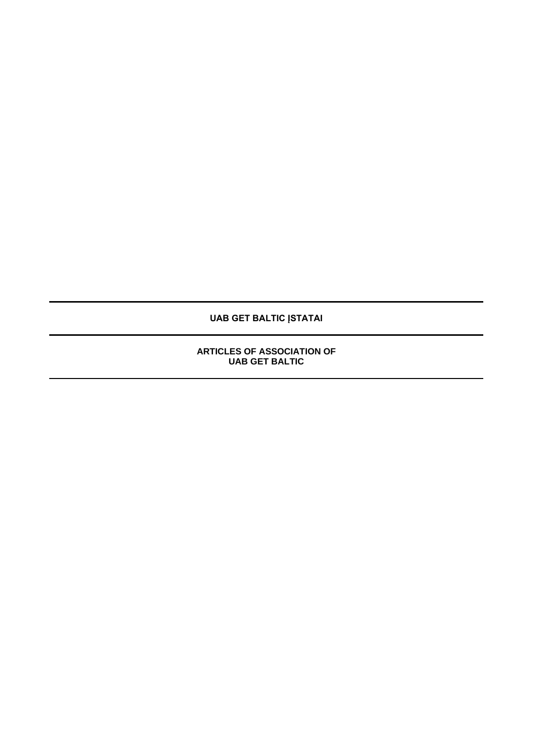**UAB GET BALTIC ĮSTATAI**

**ARTICLES OF ASSOCIATION OF UAB GET BALTIC**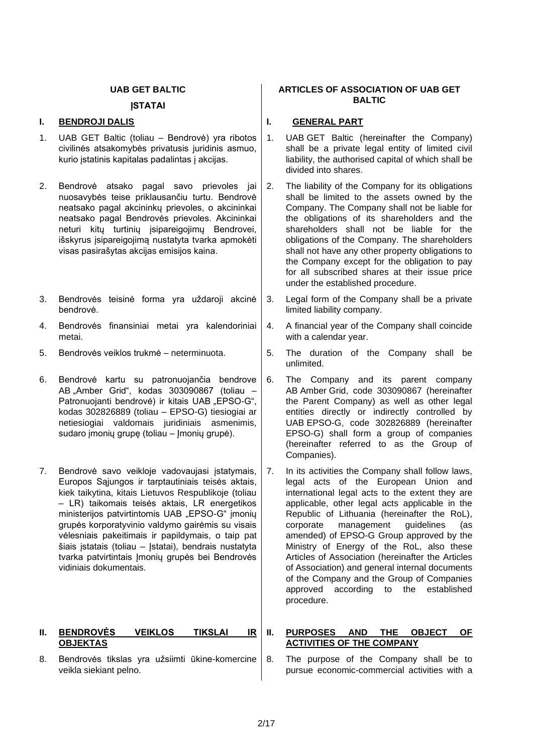## **UAB GET BALTIC**

## **ĮSTATAI**

## **I. BENDROJI DALIS I. GENERAL PART**

- 1. UAB GET Baltic (toliau Bendrovė) yra ribotos civilinės atsakomybės privatusis juridinis asmuo, kurio įstatinis kapitalas padalintas į akcijas.
- 2. Bendrovė atsako pagal savo prievoles jai nuosavybės teise priklausančiu turtu. Bendrovė neatsako pagal akcininkų prievoles, o akcininkai neatsako pagal Bendrovės prievoles. Akcininkai neturi kitų turtinių isipareigojimų Bendrovei, išskyrus įsipareigojimą nustatyta tvarka apmokėti visas pasirašytas akcijas emisijos kaina.
- 3. Bendrovės teisinė forma yra uždaroji akcinė bendrovė.
- 4. Bendrovės finansiniai metai yra kalendoriniai metai.
- 
- 6. Bendrovė kartu su patronuojančia bendrove AB "Amber Grid", kodas 303090867 (toliau Patronuojanti bendrovė) ir kitais UAB "EPSO-G", kodas 302826889 (toliau – EPSO-G) tiesiogiai ar netiesiogiai valdomais juridiniais asmenimis, sudaro įmonių grupę (toliau – Įmonių grupė).
- 7. Bendrovė savo veikloje vadovaujasi įstatymais, Europos Sąjungos ir tarptautiniais teisės aktais, kiek taikytina, kitais Lietuvos Respublikoje (toliau – LR) taikomais teisės aktais, LR energetikos ministerijos patvirtintomis UAB "EPSO-G" įmonių grupės korporatyvinio valdymo gairėmis su visais vėlesniais pakeitimais ir papildymais, o taip pat šiais įstatais (toliau – Įstatai), bendrais nustatyta tvarka patvirtintais Imonių grupės bei Bendrovės vidiniais dokumentais.

## **II. BENDROVĖS VEIKLOS TIKSLAI IR OBJEKTAS**

8. Bendrovės tikslas yra užsiimti ūkine-komercine veikla siekiant pelno.

## **ARTICLES OF ASSOCIATION OF UAB GET BALTIC**

- 1. UAB GET Baltic (hereinafter the Company) shall be a private legal entity of limited civil liability, the authorised capital of which shall be divided into shares.
- 2. The liability of the Company for its obligations shall be limited to the assets owned by the Company. The Company shall not be liable for the obligations of its shareholders and the shareholders shall not be liable for the obligations of the Company. The shareholders shall not have any other property obligations to the Company except for the obligation to pay for all subscribed shares at their issue price under the established procedure.
- 3. Legal form of the Company shall be a private limited liability company.
- 4. A financial year of the Company shall coincide with a calendar year.
- 5. Bendrovės veiklos trukmė neterminuota.  $\vert$  5. The duration of the Company shall be unlimited.
	- 6. The Company and its parent company AB Amber Grid, code 303090867 (hereinafter the Parent Company) as well as other legal entities directly or indirectly controlled by UAB EPSO-G, code 302826889 (hereinafter EPSO-G) shall form a group of companies (hereinafter referred to as the Group of Companies).
	- 7. In its activities the Company shall follow laws, legal acts of the European Union and international legal acts to the extent they are applicable, other legal acts applicable in the Republic of Lithuania (hereinafter the RoL),<br>corporate management quidelines (as corporate management guidelines (as amended) of EPSO-G Group approved by the Ministry of Energy of the RoL, also these Articles of Association (hereinafter the Articles of Association) and general internal documents of the Company and the Group of Companies approved according to the established procedure.

## **II. PURPOSES AND THE OBJECT OF ACTIVITIES OF THE COMPANY**

8. The purpose of the Company shall be to pursue economic-commercial activities with a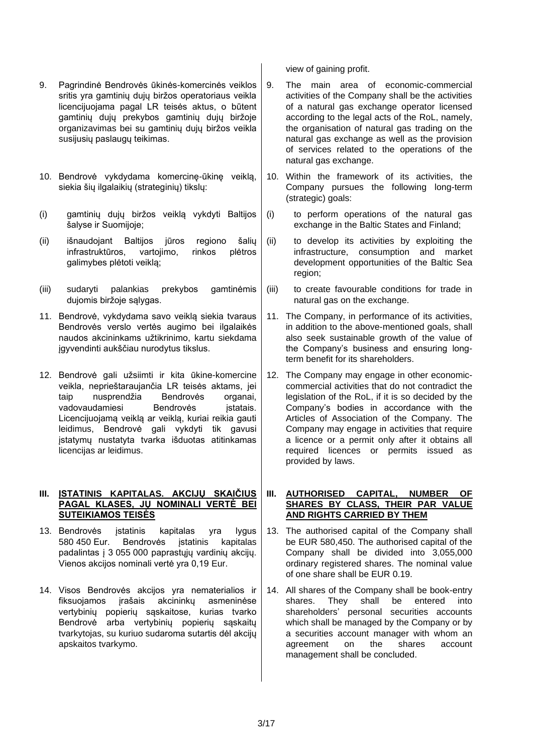- 9. Pagrindinė Bendrovės ūkinės-komercinės veiklos sritis yra gamtinių dujų biržos operatoriaus veikla licencijuojama pagal LR teisės aktus, o būtent gamtinių dujų prekybos gamtinių dujų biržoje organizavimas bei su gamtinių dujų biržos veikla susijusių paslaugų teikimas.
- 10. Bendrovė vykdydama komercinę-ūkinę veiklą, siekia šių ilgalaikių (strateginių) tikslų:
- (i) gamtinių dujų biržos veiklą vykdyti Baltijos šalyse ir Suomijoje;
- (ii) išnaudojant Baltijos jūros regiono šalių infrastruktūros, vartojimo, rinkos plėtros galimybes plėtoti veiklą;
- (iii) sudaryti palankias prekybos gamtinėmis dujomis biržoje sąlygas.
- 11. Bendrovė, vykdydama savo veiklą siekia tvaraus Bendrovės verslo vertės augimo bei ilgalaikės naudos akcininkams užtikrinimo, kartu siekdama įgyvendinti aukščiau nurodytus tikslus.
- 12. Bendrovė gali užsiimti ir kita ūkine-komercine veikla, neprieštaraujančia LR teisės aktams, jei taip nusprendžia Bendrovės organai, vadovaudamiesi Bendrovės istatais. Licencijuojamą veiklą ar veiklą, kuriai reikia gauti leidimus, Bendrovė gali vykdyti tik gavusi įstatymų nustatyta tvarka išduotas atitinkamas licencijas ar leidimus.

## **III. ĮSTATINIS KAPITALAS. AKCIJŲ SKAIČIUS PAGAL KLASES, JŲ NOMINALI VERTĖ BEI SUTEIKIAMOS TEISĖS**

- 13. Bendrovės įstatinis kapitalas yra lygus 580 450 Eur. Bendrovės įstatinis kapitalas padalintas į 3 055 000 paprastųjų vardinių akcijų. Vienos akcijos nominali vertė yra 0,19 Eur.
- 14. Visos Bendrovės akcijos yra nematerialios ir fiksuojamos įrašais akcininkų asmeninėse vertybinių popierių sąskaitose, kurias tvarko Bendrovė arba vertybinių popierių sąskaitų tvarkytojas, su kuriuo sudaroma sutartis dėl akcijų apskaitos tvarkymo.

view of gaining profit.

- 9. The main area of economic-commercial activities of the Company shall be the activities of a natural gas exchange operator licensed according to the legal acts of the RoL, namely, the organisation of natural gas trading on the natural gas exchange as well as the provision of services related to the operations of the natural gas exchange.
- 10. Within the framework of its activities, the Company pursues the following long-term (strategic) goals:
- (i) to perform operations of the natural gas exchange in the Baltic States and Finland;
- (ii) to develop its activities by exploiting the infrastructure, consumption and market development opportunities of the Baltic Sea region;
- (iii) to create favourable conditions for trade in natural gas on the exchange.
- 11. The Company, in performance of its activities, in addition to the above-mentioned goals, shall also seek sustainable growth of the value of the Company's business and ensuring longterm benefit for its shareholders.
- 12. The Company may engage in other economiccommercial activities that do not contradict the legislation of the RoL, if it is so decided by the Company's bodies in accordance with the Articles of Association of the Company. The Company may engage in activities that require a licence or a permit only after it obtains all required licences or permits issued as provided by laws.

## **III. AUTHORISED CAPITAL, NUMBER OF SHARES BY CLASS, THEIR PAR VALUE AND RIGHTS CARRIED BY THEM**

- 13. The authorised capital of the Company shall be EUR 580,450. The authorised capital of the Company shall be divided into 3,055,000 ordinary registered shares. The nominal value of one share shall be EUR 0.19.
- 14. All shares of the Company shall be book-entry shares. They shall be entered into shareholders' personal securities accounts which shall be managed by the Company or by a securities account manager with whom an agreement on the shares account management shall be concluded.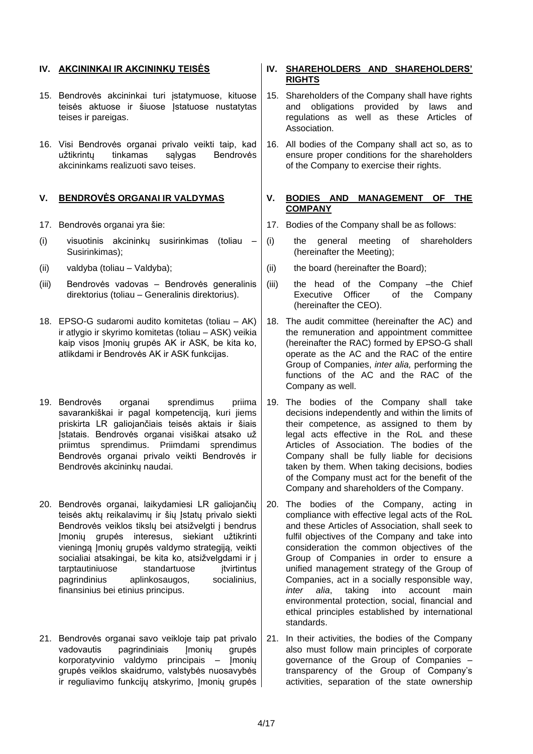- 15. Bendrovės akcininkai turi įstatymuose, kituose teisės aktuose ir šiuose įstatuose nustatytas teises ir pareigas.
- 16. Visi Bendrovės organai privalo veikti taip, kad<br>užtikrintu tinkamas salvgas Bendrovės užtikrintu tinkamas salvgas Bendrovės akcininkams realizuoti savo teises.

- 
- (i) visuotinis akcininkų susirinkimas (toliau Susirinkimas);
- 
- (iii) Bendrovės vadovas Bendrovės generalinis direktorius (toliau – Generalinis direktorius).
- 18. EPSO-G sudaromi audito komitetas (toliau AK) ir atlygio ir skyrimo komitetas (toliau – ASK) veikia kaip visos Įmonių grupės AK ir ASK, be kita ko, atlikdami ir Bendrovės AK ir ASK funkcijas.
- 19. Bendrovės organai sprendimus priima savarankiškai ir pagal kompetenciją, kuri jiems priskirta LR galiojančiais teisės aktais ir šiais Įstatais. Bendrovės organai visiškai atsako už priimtus sprendimus. Priimdami sprendimus Bendrovės organai privalo veikti Bendrovės ir Bendrovės akcininkų naudai.
- 20. Bendrovės organai, laikydamiesi LR galiojančių teisės aktu reikalavimu ir šių Įstatų privalo siekti Bendrovės veiklos tikslų bei atsižvelgti į bendrus Įmonių grupės interesus, siekiant užtikrinti vieningą Imonių grupės valdymo strategiją, veikti socialiai atsakingai, be kita ko, atsižvelgdami ir į tarptautiniuose standartuose itvirtintus pagrindinius aplinkosaugos, socialinius, finansinius bei etinius principus.
- 21. Bendrovės organai savo veikloje taip pat privalo vadovautis pagrindiniais Įmonių grupės korporatyvinio valdymo principais – Įmonių grupės veiklos skaidrumo, valstybės nuosavybės ir reguliavimo funkcijų atskyrimo, Imonių grupės

## **IV. AKCININKAI IR AKCININKŲ TEISĖS IV. SHAREHOLDERS AND SHAREHOLDERS' RIGHTS**

- 15. Shareholders of the Company shall have rights and obligations provided by laws and regulations as well as these Articles of Association.
- 16. All bodies of the Company shall act so, as to ensure proper conditions for the shareholders of the Company to exercise their rights.

## **V. BENDROVĖS ORGANAI IR VALDYMAS V. BODIES AND MANAGEMENT OF THE COMPANY**

- 17. Bendrovės organai yra šie: 17. Bodies of the Company shall be as follows:
	- (i) the general meeting of shareholders (hereinafter the Meeting);
- (ii) valdyba (toliau Valdyba);  $\vert$  (ii) the board (hereinafter the Board);
	- (iii) the head of the Company –the Chief Executive Officer of the Company (hereinafter the CEO).
	- 18. The audit committee (hereinafter the AC) and the remuneration and appointment committee (hereinafter the RAC) formed by EPSO-G shall operate as the AC and the RAC of the entire Group of Companies, *inter alia,* performing the functions of the AC and the RAC of the Company as well.
	- 19. The bodies of the Company shall take decisions independently and within the limits of their competence, as assigned to them by legal acts effective in the RoL and these Articles of Association. The bodies of the Company shall be fully liable for decisions taken by them. When taking decisions, bodies of the Company must act for the benefit of the Company and shareholders of the Company.
	- 20. The bodies of the Company, acting in compliance with effective legal acts of the RoL and these Articles of Association, shall seek to fulfil objectives of the Company and take into consideration the common objectives of the Group of Companies in order to ensure a unified management strategy of the Group of Companies, act in a socially responsible way, *inter alia*, taking into account main environmental protection, social, financial and ethical principles established by international standards.
	- 21. In their activities, the bodies of the Company also must follow main principles of corporate governance of the Group of Companies – transparency of the Group of Company's activities, separation of the state ownership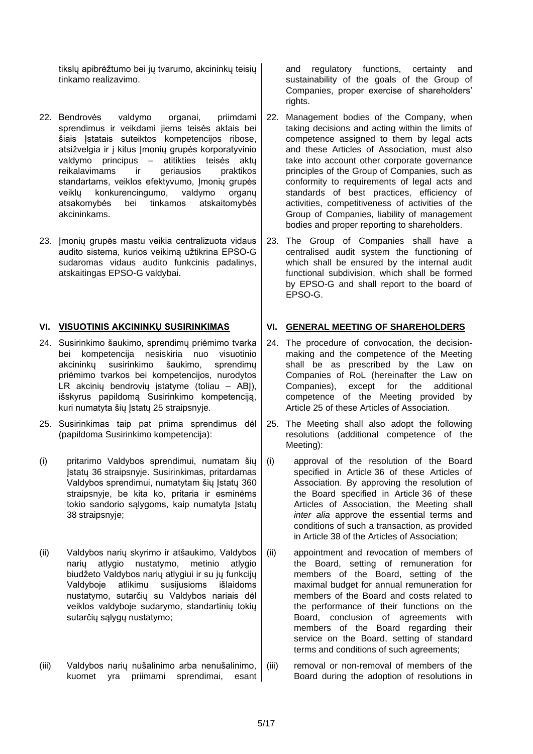tikslų apibrėžtumo bei jų tvarumo, akcininkų teisių tinkamo realizavimo.

- 22. Bendrovės valdymo organai, priimdami sprendimus ir veikdami jiems teisės aktais bei šiais Istatais suteiktos kompetencijos ribose, atsižvelgia ir į kitus Įmonių grupės korporatyvinio valdymo principus – atitikties teisės aktų reikalavimams ir geriausios praktikos standartams, veiklos efektyvumo, Įmonių grupės veiklų konkurencingumo, valdymo organų atsakomybės bei tinkamos atskaitomybės akcininkams.
- 23. Imoniu grupės mastu veikia centralizuota vidaus audito sistema, kurios veikimą užtikrina EPSO-G sudaromas vidaus audito funkcinis padalinys, atskaitingas EPSO-G valdybai.

- 24. Susirinkimo šaukimo, sprendimų priėmimo tvarka bei kompetencija nesiskiria nuo visuotinio akcininkų susirinkimo šaukimo, sprendimų priėmimo tvarkos bei kompetencijos, nurodytos LR akcinių bendrovių įstatyme (toliau – ABJ), išskyrus papildomą Susirinkimo kompetenciją, kuri numatyta šių Įstatų 25 straipsnyje.
- 25. Susirinkimas taip pat priima sprendimus dėl (papildoma Susirinkimo kompetencija):
- (i) pritarimo Valdybos sprendimui, numatam šių Įstatų 36 straipsnyje. Susirinkimas, pritardamas Valdybos sprendimui, numatytam šių Įstatų 3[60](#page-9-0) straipsnyje, be kita ko, pritaria ir esminėms tokio sandorio sąlygoms, kaip numatyta Įstatų 38 straipsnyje;
- (ii) Valdybos narių skyrimo ir atšaukimo, Valdybos narių atlygio nustatymo, metinio atlygio biudžeto Valdybos narių atlygiui ir su jų funkcijų Valdyboje atlikimu susijusioms išlaidoms nustatymo, sutarčių su Valdybos nariais dėl veiklos valdyboje sudarymo, standartinių tokių sutarčių sąlygų nustatymo;
- (iii) Valdybos narių nušalinimo arba nenušalinimo, kuomet yra priimami sprendimai, esant

and regulatory functions, certainty and sustainability of the goals of the Group of Companies, proper exercise of shareholders' rights.

- 22. Management bodies of the Company, when taking decisions and acting within the limits of competence assigned to them by legal acts and these Articles of Association, must also take into account other corporate governance principles of the Group of Companies, such as conformity to requirements of legal acts and standards of best practices, efficiency of activities, competitiveness of activities of the Group of Companies, liability of management bodies and proper reporting to shareholders.
- 23. The Group of Companies shall have a centralised audit system the functioning of which shall be ensured by the internal audit functional subdivision, which shall be formed by EPSO-G and shall report to the board of EPSO-G.

## **VI. VISUOTINIS AKCININKŲ SUSIRINKIMAS VI. GENERAL MEETING OF SHAREHOLDERS**

- 24. The procedure of convocation, the decisionmaking and the competence of the Meeting shall be as prescribed by the Law on Companies of RoL (hereinafter the Law on Companies), except for the additional competence of the Meeting provided by Article 25 of these Articles of Association.
- 25. The Meeting shall also adopt the following resolutions (additional competence of the Meeting):
- (i) approval of the resolution of the Board specified in Article 36 of these Articles of Association. By approving the resolution of the Board specified in Article 36 of these Articles of Association, the Meeting shall *inter alia* approve the essential terms and conditions of such a transaction, as provided in Article 38 of the Articles of Association;
- (ii) appointment and revocation of members of the Board, setting of remuneration for members of the Board, setting of the maximal budget for annual remuneration for members of the Board and costs related to the performance of their functions on the Board, conclusion of agreements with members of the Board regarding their service on the Board, setting of standard terms and conditions of such agreements;
- (iii) removal or non-removal of members of the Board during the adoption of resolutions in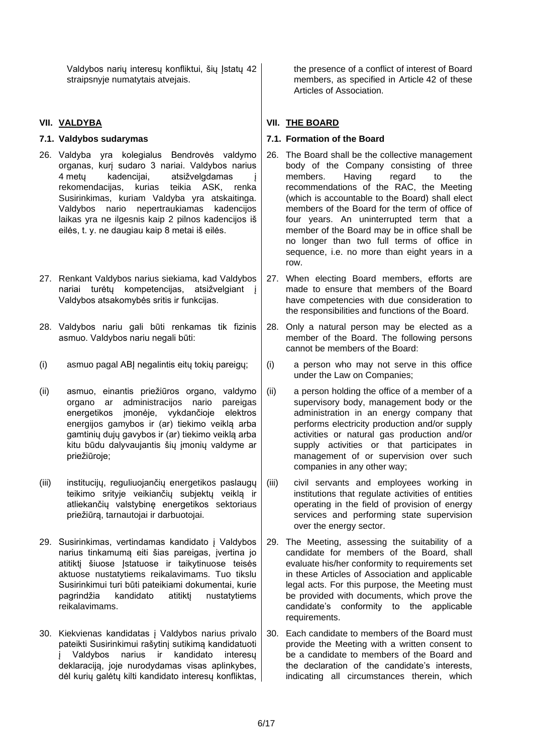Valdybos narių interesų konfliktui, šių Įstatų 42 straipsnyje numatytais atvejais.

- 26. Valdyba yra kolegialus Bendrovės valdymo organas, kurį sudaro 3 nariai. Valdybos narius 4 metų kadencijai, atsižvelgdamas į rekomendacijas, kurias teikia ASK, renka Susirinkimas, kuriam Valdyba yra atskaitinga. Valdybos nario nepertraukiamas kadencijos laikas yra ne ilgesnis kaip 2 pilnos kadencijos iš eilės, t. y. ne daugiau kaip 8 metai iš eilės.
- 27. Renkant Valdybos narius siekiama, kad Valdybos nariai turėtų kompetencijas, atsižvelgiant į Valdybos atsakomybės sritis ir funkcijas.
- 28. Valdybos nariu gali būti renkamas tik fizinis asmuo. Valdybos nariu negali būti:
- (i) asmuo pagal ABJ negalintis eitų tokių pareigų;  $\mid$  (i) a person who may not serve in this office
- (ii) asmuo, einantis priežiūros organo, valdymo organo ar administracijos nario pareigas energetikos įmonėje, vykdančioje elektros energijos gamybos ir (ar) tiekimo veiklą arba gamtinių dujų gavybos ir (ar) tiekimo veiklą arba kitu būdu dalyvaujantis šių įmonių valdyme ar priežiūroje;
- (iii) institucijų, reguliuojančių energetikos paslaugų teikimo srityje veikiančių subjektų veiklą ir atliekančių valstybinę energetikos sektoriaus priežiūrą, tarnautojai ir darbuotojai.
- 29. Susirinkimas, vertindamas kandidato į Valdybos narius tinkamumą eiti šias pareigas, įvertina jo atitikti šiuose Istatuose ir taikytinuose teisės aktuose nustatytiems reikalavimams. Tuo tikslu Susirinkimui turi būti pateikiami dokumentai, kurie pagrindžia kandidato atitiktį nustatytiems reikalavimams.
- 30. Kiekvienas kandidatas į Valdybos narius privalo pateikti Susirinkimui rašytinį sutikimą kandidatuoti į Valdybos narius ir kandidato interesų deklaraciją, joje nurodydamas visas aplinkybes, dėl kurių galėtų kilti kandidato interesų konfliktas,

the presence of a conflict of interest of Board members, as specified in Article 42 of these Articles of Association.

# **VII. VALDYBA VII. THE BOARD**

## **7.1. Valdybos sudarymas 7.1. Formation of the Board**

- 26. The Board shall be the collective management body of the Company consisting of three members. Having regard to the recommendations of the RAC, the Meeting (which is accountable to the Board) shall elect members of the Board for the term of office of four years. An uninterrupted term that a member of the Board may be in office shall be no longer than two full terms of office in sequence, i.e. no more than eight years in a row.
- 27. When electing Board members, efforts are made to ensure that members of the Board have competencies with due consideration to the responsibilities and functions of the Board.
- 28. Only a natural person may be elected as a member of the Board. The following persons cannot be members of the Board:
- under the Law on Companies;
- (ii) a person holding the office of a member of a supervisory body, management body or the administration in an energy company that performs electricity production and/or supply activities or natural gas production and/or supply activities or that participates in management of or supervision over such companies in any other way;
- (iii) civil servants and employees working in institutions that regulate activities of entities operating in the field of provision of energy services and performing state supervision over the energy sector.
- 29. The Meeting, assessing the suitability of a candidate for members of the Board, shall evaluate his/her conformity to requirements set in these Articles of Association and applicable legal acts. For this purpose, the Meeting must be provided with documents, which prove the candidate's conformity to the applicable requirements.
- 30. Each candidate to members of the Board must provide the Meeting with a written consent to be a candidate to members of the Board and the declaration of the candidate's interests, indicating all circumstances therein, which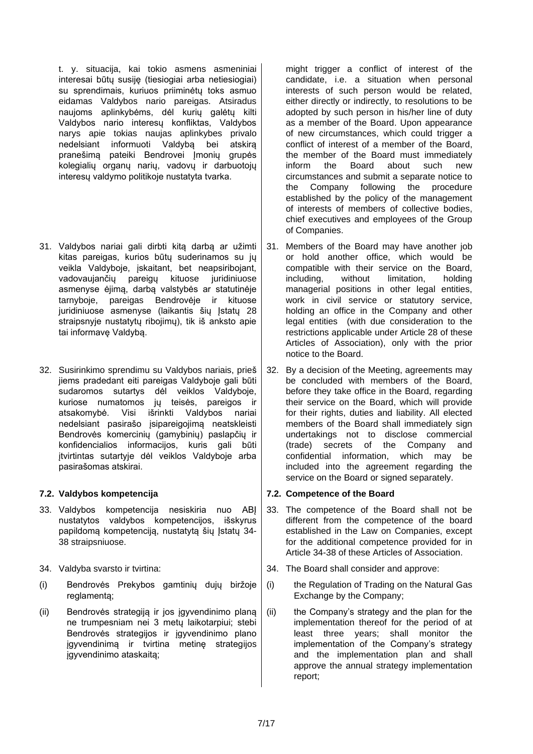t. y. situacija, kai tokio asmens asmeniniai interesai būtų susiję (tiesiogiai arba netiesiogiai) su sprendimais, kuriuos priiminėtų toks asmuo eidamas Valdybos nario pareigas. Atsiradus naujoms aplinkybėms, dėl kurių galėtų kilti Valdybos nario interesų konfliktas, Valdybos narys apie tokias naujas aplinkybes privalo nedelsiant informuoti Valdybą bei atskirą pranešima pateiki Bendrovei Imoniu grupės kolegialių organų narių, vadovų ir darbuotojų interesų valdymo politikoje nustatyta tvarka.

- 31. Valdybos nariai gali dirbti kitą darbą ar užimti kitas pareigas, kurios būtų suderinamos su jų veikla Valdyboje, įskaitant, bet neapsiribojant, vadovaujančių pareigų kituose juridiniuose asmenyse ėjimą, darbą valstybės ar statutinėje tarnyboje, pareigas Bendrovėje ir kituose juridiniuose asmenyse (laikantis šių Įstatų 28 straipsnyje nustatytų ribojimų), tik iš anksto apie tai informavę Valdybą.
- 32. Susirinkimo sprendimu su Valdybos nariais, prieš jiems pradedant eiti pareigas Valdyboje gali būti sudaromos sutartys dėl veiklos Valdyboje, kuriose numatomos jų teisės, pareigos ir atsakomybė. Visi išrinkti Valdybos nariai nedelsiant pasirašo įsipareigojimą neatskleisti Bendrovės komercinių (gamybinių) paslapčių ir konfidencialios informacijos, kuris gali būti įtvirtintas sutartyje dėl veiklos Valdyboje arba pasirašomas atskirai.

- 33. Valdybos kompetencija nesiskiria nuo ABĮ nustatytos valdybos kompetencijos, išskyrus papildomą kompetenciją, nustatytą šių Įstatų 34- 38 straipsniuose.
- 
- (i) Bendrovės Prekybos gamtinių dujų biržoje reglamentą;
- (ii) Bendrovės strategiją ir jos įgyvendinimo planą ne trumpesniam nei 3 metų laikotarpiui; stebi Bendrovės strategijos ir įgyvendinimo plano įgyvendinimą ir tvirtina metinę strategijos įgyvendinimo ataskaitą;

might trigger a conflict of interest of the candidate, i.e. a situation when personal interests of such person would be related, either directly or indirectly, to resolutions to be adopted by such person in his/her line of duty as a member of the Board. Upon appearance of new circumstances, which could trigger a conflict of interest of a member of the Board, the member of the Board must immediately inform the Board about such new circumstances and submit a separate notice to the Company following the procedure established by the policy of the management of interests of members of collective bodies, chief executives and employees of the Group of Companies.

- 31. Members of the Board may have another job or hold another office, which would be compatible with their service on the Board, including, without limitation, holding managerial positions in other legal entities, work in civil service or statutory service, holding an office in the Company and other legal entities (with due consideration to the restrictions applicable under Article 28 of these Articles of Association), only with the prior notice to the Board.
- 32. By a decision of the Meeting, agreements may be concluded with members of the Board, before they take office in the Board, regarding their service on the Board, which will provide for their rights, duties and liability. All elected members of the Board shall immediately sign undertakings not to disclose commercial (trade) secrets of the Company and confidential information, which may be included into the agreement regarding the service on the Board or signed separately.

## **7.2. Valdybos kompetencija 7.2. Competence of the Board**

- 33. The competence of the Board shall not be different from the competence of the board established in the Law on Companies, except for the additional competence provided for in Article 34-38 of these Articles of Association.
- 34. Valdyba svarsto ir tvirtina: 34. The Board shall consider and approve:
	- (i) the Regulation of Trading on the Natural Gas Exchange by the Company;
	- (ii) the Company's strategy and the plan for the implementation thereof for the period of at least three years; shall monitor the implementation of the Company's strategy and the implementation plan and shall approve the annual strategy implementation report;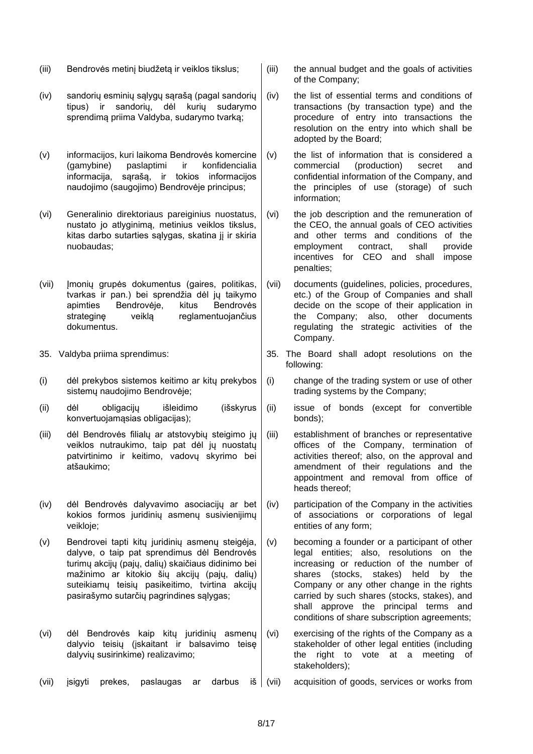- (iii) Bendrovės metinį biudžetą ir veiklos tikslus;  $\|$  (iii) the annual budget and the goals of activities
- (iv) sandorių esminių sąlygų sąrašą (pagal sandorių tipus) ir sandorių, dėl kurių sudarymo sprendimą priima Valdyba, sudarymo tvarką;
- (v) informacijos, kuri laikoma Bendrovės komercine (gamybine) paslaptimi ir konfidencialia informacija, sąrašą, ir tokios informacijos naudojimo (saugojimo) Bendrovėje principus;
- (vi) Generalinio direktoriaus pareiginius nuostatus, nustato jo atlyginimą, metinius veiklos tikslus, kitas darbo sutarties sąlygas, skatina jį ir skiria nuobaudas;
- (vii) Įmonių grupės dokumentus (gaires, politikas, tvarkas ir pan.) bei sprendžia dėl jų taikymo apimties Bendrovėje, kitus Bendrovės strateginę veiklą reglamentuojančius dokumentus.
- 
- (i) dėl prekybos sistemos keitimo ar kitų prekybos sistemų naudojimo Bendrovėje;
- (ii) dėl obligacijų išleidimo (išskyrus konvertuojamąsias obligacijas);
- (iii) dėl Bendrovės filialų ar atstovybių steigimo jų veiklos nutraukimo, taip pat dėl jų nuostatų patvirtinimo ir keitimo, vadovų skyrimo bei atšaukimo;
- (iv) dėl Bendrovės dalyvavimo asociacijų ar bet kokios formos juridinių asmenų susivienijimų veikloje;
- (v) Bendrovei tapti kitų juridinių asmenų steigėja, dalyve, o taip pat sprendimus dėl Bendrovės turimų akcijų (pajų, dalių) skaičiaus didinimo bei mažinimo ar kitokio šių akcijų (pajų, dalių) suteikiamų teisių pasikeitimo, tvirtina akcijų pasirašymo sutarčių pagrindines sąlygas;
- (vi) dėl Bendrovės kaip kitų juridinių asmenų dalyvio teisių (įskaitant ir balsavimo teisę dalyvių susirinkime) realizavimo;
- (vii) įsigyti prekes, paslaugas ar darbus iš (vii) acquisition of goods, services or works from
- of the Company;
- (iv) the list of essential terms and conditions of transactions (by transaction type) and the procedure of entry into transactions the resolution on the entry into which shall be adopted by the Board;
- (v) the list of information that is considered a commercial (production) secret and confidential information of the Company, and the principles of use (storage) of such information;
- (vi) the job description and the remuneration of the CEO, the annual goals of CEO activities and other terms and conditions of the employment contract, shall provide incentives for CEO and shall impose penalties;
- (vii) documents (guidelines, policies, procedures, etc.) of the Group of Companies and shall decide on the scope of their application in the Company; also, other documents regulating the strategic activities of the Company.
- 35. Valdyba priima sprendimus: 35. The Board shall adopt resolutions on the following:
	- (i) change of the trading system or use of other trading systems by the Company;
	- (ii) issue of bonds (except for convertible bonds);
	- (iii) establishment of branches or representative offices of the Company, termination of activities thereof; also, on the approval and amendment of their regulations and the appointment and removal from office of heads thereof;
	- (iv) participation of the Company in the activities of associations or corporations of legal entities of any form;
	- (v) becoming a founder or a participant of other legal entities; also, resolutions on the increasing or reduction of the number of shares (stocks, stakes) held by the Company or any other change in the rights carried by such shares (stocks, stakes), and shall approve the principal terms and conditions of share subscription agreements;
	- (vi) exercising of the rights of the Company as a stakeholder of other legal entities (including the right to vote at a meeting of stakeholders);
	-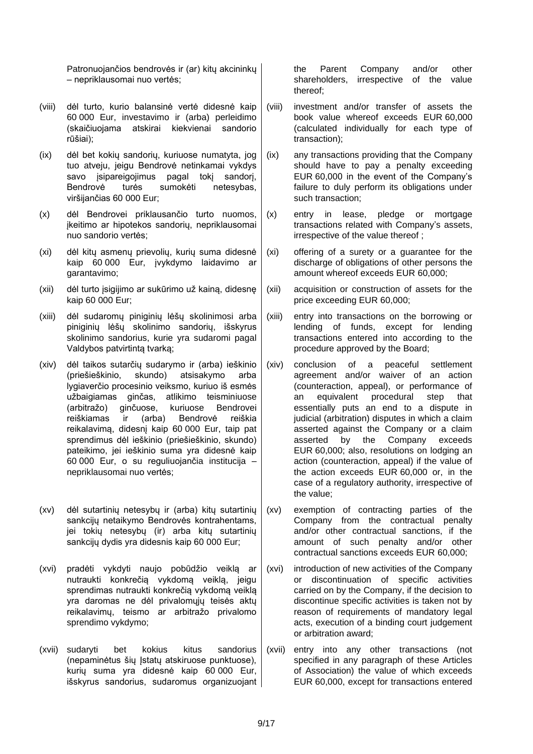Patronuojančios bendrovės ir (ar) kitų akcininkų – nepriklausomai nuo vertės;

- (viii) dėl turto, kurio balansinė vertė didesnė kaip 60 000 Eur, investavimo ir (arba) perleidimo (skaičiuojama atskirai kiekvienai sandorio rūšiai);
- (ix) dėl bet kokių sandorių, kuriuose numatyta, jog tuo atveju, jeigu Bendrovė netinkamai vykdys savo isipareigojimus pagal toki sandorį, Bendrovė turės sumokėti netesybas, viršijančias 60 000 Eur;
- (x) dėl Bendrovei priklausančio turto nuomos, įkeitimo ar hipotekos sandorių, nepriklausomai nuo sandorio vertės;
- (xi) dėl kitų asmenų prievolių, kurių suma didesnė kaip 60 000 Eur, įvykdymo laidavimo ar garantavimo;
- (xii) dėl turto įsigijimo ar sukūrimo už kainą, didesnę kaip 60 000 Eur;
- (xiii) dėl sudaromų piniginių lėšų skolinimosi arba piniginių lėšų skolinimo sandorių, išskyrus skolinimo sandorius, kurie yra sudaromi pagal Valdybos patvirtintą tvarką;
- (xiv) dėl taikos sutarčių sudarymo ir (arba) ieškinio (priešieškinio, skundo) atsisakymo arba lygiaverčio procesinio veiksmo, kuriuo iš esmės užbaigiamas ginčas, atlikimo teisminiuose (arbitražo) ginčuose, kuriuose Bendrovei reiškiamas ir (arba) Bendrovė reiškia reikalavimą, didesnį kaip 60 000 Eur, taip pat sprendimus dėl ieškinio (priešieškinio, skundo) pateikimo, jei ieškinio suma yra didesnė kaip 60 000 Eur, o su reguliuojančia institucija – nepriklausomai nuo vertės;
- (xv) dėl sutartinių netesybų ir (arba) kitų sutartinių sankcijų netaikymo Bendrovės kontrahentams, jei tokių netesybų (ir) arba kitų sutartinių sankcijų dydis yra didesnis kaip 60 000 Eur;
- (xvi) pradėti vykdyti naujo pobūdžio veiklą ar nutraukti konkrečią vykdomą veiklą, jeigu sprendimas nutraukti konkrečią vykdomą veiklą yra daromas ne dėl privalomųjų teisės aktų reikalavimų, teismo ar arbitražo privalomo sprendimo vykdymo;
- (xvii) sudaryti bet kokius kitus sandorius (nepaminėtus šių Įstatų atskiruose punktuose), kurių suma yra didesnė kaip 60 000 Eur, išskyrus sandorius, sudaromus organizuojant

the Parent Company and/or other shareholders, irrespective of the value thereof;

- (viii) investment and/or transfer of assets the book value whereof exceeds EUR 60,000 (calculated individually for each type of transaction);
- (ix) any transactions providing that the Company should have to pay a penalty exceeding EUR 60,000 in the event of the Company's failure to duly perform its obligations under such transaction;
- (x) entry in lease, pledge or mortgage transactions related with Company's assets, irrespective of the value thereof ;
- (xi) offering of a surety or a guarantee for the discharge of obligations of other persons the amount whereof exceeds EUR 60,000;
- (xii) acquisition or construction of assets for the price exceeding EUR 60,000;
- (xiii) entry into transactions on the borrowing or lending of funds, except for lending transactions entered into according to the procedure approved by the Board;
- (xiv) conclusion of a peaceful settlement agreement and/or waiver of an action (counteraction, appeal), or performance of an equivalent procedural step that essentially puts an end to a dispute in judicial (arbitration) disputes in which a claim asserted against the Company or a claim asserted by the Company exceeds EUR 60,000; also, resolutions on lodging an action (counteraction, appeal) if the value of the action exceeds EUR 60,000 or, in the case of a regulatory authority, irrespective of the value;
- (xv) exemption of contracting parties of the Company from the contractual penalty and/or other contractual sanctions, if the amount of such penalty and/or other contractual sanctions exceeds EUR 60,000;
- (xvi) introduction of new activities of the Company or discontinuation of specific activities carried on by the Company, if the decision to discontinue specific activities is taken not by reason of requirements of mandatory legal acts, execution of a binding court judgement or arbitration award;
- (xvii) entry into any other transactions (not specified in any paragraph of these Articles of Association) the value of which exceeds EUR 60,000, except for transactions entered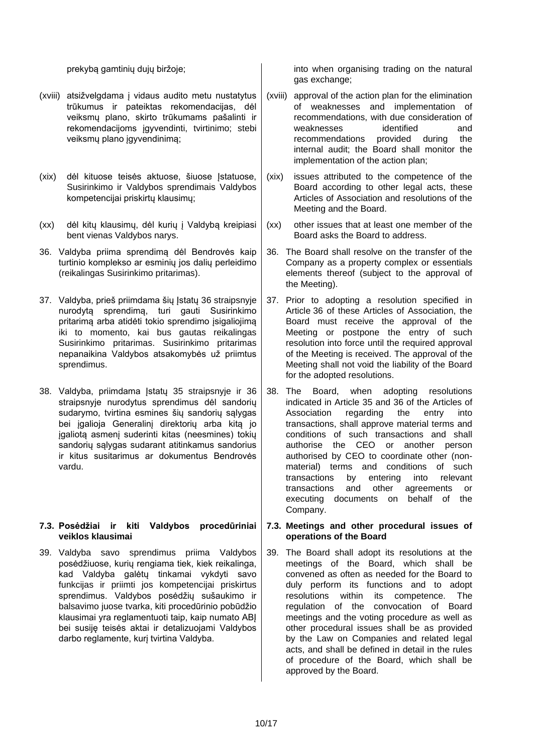- (xviii) atsižvelgdama į vidaus audito metu nustatytus trūkumus ir pateiktas rekomendacijas, dėl veiksmų plano, skirto trūkumams pašalinti ir rekomendacijoms įgyvendinti, tvirtinimo; stebi veiksmų plano įgyvendinimą;
- (xix) dėl kituose teisės aktuose, šiuose Įstatuose, Susirinkimo ir Valdybos sprendimais Valdybos kompetencijai priskirtų klausimų;
- (xx) dėl kitų klausimų, dėl kurių į Valdybą kreipiasi bent vienas Valdybos narys.
- <span id="page-9-0"></span>36. Valdyba priima sprendimą dėl Bendrovės kaip turtinio komplekso ar esminių jos dalių perleidimo (reikalingas Susirinkimo pritarimas).
- 37. Valdyba, prieš priimdama šių Įstatų 36 straipsnyje nurodytą sprendimą, turi gauti Susirinkimo pritarimą arba atidėti tokio sprendimo įsigaliojimą iki to momento, kai bus gautas reikalingas Susirinkimo pritarimas. Susirinkimo pritarimas nepanaikina Valdybos atsakomybės už priimtus sprendimus.
- 38. Valdyba, priimdama Įstatų 35 straipsnyje ir 36 straipsnyje nurodytus sprendimus dėl sandorių sudarymo, tvirtina esmines šių sandorių sąlygas bei įgalioja Generalinį direktorių arba kitą jo įgaliotą asmenį suderinti kitas (neesmines) tokių sandorių sąlygas sudarant atitinkamus sandorius ir kitus susitarimus ar dokumentus Bendrovės vardu.

## **7.3. Posėdžiai ir kiti Valdybos procedūriniai veiklos klausimai**

39. Valdyba savo sprendimus priima Valdybos posėdžiuose, kurių rengiama tiek, kiek reikalinga, kad Valdyba galėtų tinkamai vykdyti savo funkcijas ir priimti jos kompetencijai priskirtus sprendimus. Valdybos posėdžių sušaukimo ir balsavimo juose tvarka, kiti procedūrinio pobūdžio klausimai yra reglamentuoti taip, kaip numato ABĮ bei susiję teisės aktai ir detalizuojami Valdybos darbo reglamente, kurį tvirtina Valdyba.

prekybą gamtinių dujų biržoje; into when organising trading on the natural gas exchange;

- (xviii) approval of the action plan for the elimination of weaknesses and implementation of recommendations, with due consideration of weaknesses identified and recommendations provided during the internal audit; the Board shall monitor the implementation of the action plan;
- (xix) issues attributed to the competence of the Board according to other legal acts, these Articles of Association and resolutions of the Meeting and the Board.
- (xx) other issues that at least one member of the Board asks the Board to address.
- 36. The Board shall resolve on the transfer of the Company as a property complex or essentials elements thereof (subject to the approval of the Meeting).
- 37. Prior to adopting a resolution specified in Article 36 of these Articles of Association, the Board must receive the approval of the Meeting or postpone the entry of such resolution into force until the required approval of the Meeting is received. The approval of the Meeting shall not void the liability of the Board for the adopted resolutions.
- 38. The Board, when adopting resolutions indicated in Article 35 and 36 of the Articles of Association regarding the entry into transactions, shall approve material terms and conditions of such transactions and shall authorise the CEO or another person authorised by CEO to coordinate other (nonmaterial) terms and conditions of such transactions by entering into relevant transactions and other agreements or executing documents on behalf of the Company.

## **7.3. Meetings and other procedural issues of operations of the Board**

39. The Board shall adopt its resolutions at the meetings of the Board, which shall be convened as often as needed for the Board to duly perform its functions and to adopt resolutions within its competence. The regulation of the convocation of Board meetings and the voting procedure as well as other procedural issues shall be as provided by the Law on Companies and related legal acts, and shall be defined in detail in the rules of procedure of the Board, which shall be approved by the Board.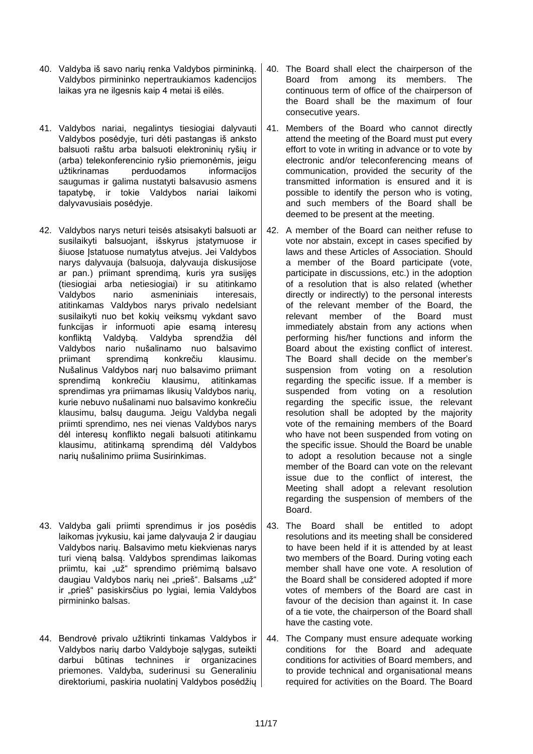- 40. Valdyba iš savo narių renka Valdybos pirmininką. Valdybos pirmininko nepertraukiamos kadencijos laikas yra ne ilgesnis kaip 4 metai iš eilės.
- 41. Valdybos nariai, negalintys tiesiogiai dalyvauti Valdybos posėdyje, turi dėti pastangas iš anksto balsuoti raštu arba balsuoti elektroninių ryšių ir (arba) telekonferencinio ryšio priemonėmis, jeigu užtikrinamas perduodamos informacijos saugumas ir galima nustatyti balsavusio asmens tapatybę, ir tokie Valdybos nariai laikomi dalyvavusiais posėdyje.
- 42. Valdybos narys neturi teisės atsisakyti balsuoti ar susilaikyti balsuojant, išskyrus įstatymuose ir šiuose Įstatuose numatytus atvejus. Jei Valdybos narys dalyvauja (balsuoja, dalyvauja diskusijose ar pan.) priimant sprendimą, kuris yra susijęs (tiesiogiai arba netiesiogiai) ir su atitinkamo Valdybos nario asmeniniais interesais, atitinkamas Valdybos narys privalo nedelsiant susilaikyti nuo bet kokių veiksmų vykdant savo funkcijas ir informuoti apie esamą interesų konfliktą Valdybą. Valdyba sprendžia dėl Valdybos nario nušalinamo nuo balsavimo priimant sprendimą konkrečiu klausimu. Nušalinus Valdybos narį nuo balsavimo priimant sprendimą konkrečiu klausimu, atitinkamas sprendimas yra priimamas likusių Valdybos narių, kurie nebuvo nušalinami nuo balsavimo konkrečiu klausimu, balsų dauguma. Jeigu Valdyba negali priimti sprendimo, nes nei vienas Valdybos narys dėl interesų konflikto negali balsuoti atitinkamu klausimu, atitinkamą sprendimą dėl Valdybos narių nušalinimo priima Susirinkimas.
- 43. Valdyba gali priimti sprendimus ir jos posėdis laikomas įvykusiu, kai jame dalyvauja 2 ir daugiau Valdybos narių. Balsavimo metu kiekvienas narys turi vieną balsą. Valdybos sprendimas laikomas priimtu, kai "už" sprendimo priėmimą balsavo daugiau Valdybos narių nei "prieš". Balsams "už" ir "prieš" pasiskirsčius po lygiai, lemia Valdybos pirmininko balsas.
- 44. Bendrovė privalo užtikrinti tinkamas Valdybos ir Valdybos narių darbo Valdyboje sąlygas, suteikti darbui būtinas technines ir organizacines priemones. Valdyba, suderinusi su Generaliniu direktoriumi, paskiria nuolatinį Valdybos posėdžių
- 40. The Board shall elect the chairperson of the Board from among its members. The continuous term of office of the chairperson of the Board shall be the maximum of four consecutive years.
- 41. Members of the Board who cannot directly attend the meeting of the Board must put every effort to vote in writing in advance or to vote by electronic and/or teleconferencing means of communication, provided the security of the transmitted information is ensured and it is possible to identify the person who is voting, and such members of the Board shall be deemed to be present at the meeting.
- 42. A member of the Board can neither refuse to vote nor abstain, except in cases specified by laws and these Articles of Association. Should a member of the Board participate (vote, participate in discussions, etc.) in the adoption of a resolution that is also related (whether directly or indirectly) to the personal interests of the relevant member of the Board, the relevant member of the Board must immediately abstain from any actions when performing his/her functions and inform the Board about the existing conflict of interest. The Board shall decide on the member's suspension from voting on a resolution regarding the specific issue. If a member is suspended from voting on a resolution regarding the specific issue, the relevant resolution shall be adopted by the majority vote of the remaining members of the Board who have not been suspended from voting on the specific issue. Should the Board be unable to adopt a resolution because not a single member of the Board can vote on the relevant issue due to the conflict of interest, the Meeting shall adopt a relevant resolution regarding the suspension of members of the Board.
- 43. The Board shall be entitled to adopt resolutions and its meeting shall be considered to have been held if it is attended by at least two members of the Board. During voting each member shall have one vote. A resolution of the Board shall be considered adopted if more votes of members of the Board are cast in favour of the decision than against it. In case of a tie vote, the chairperson of the Board shall have the casting vote.
- 44. The Company must ensure adequate working conditions for the Board and adequate conditions for activities of Board members, and to provide technical and organisational means required for activities on the Board. The Board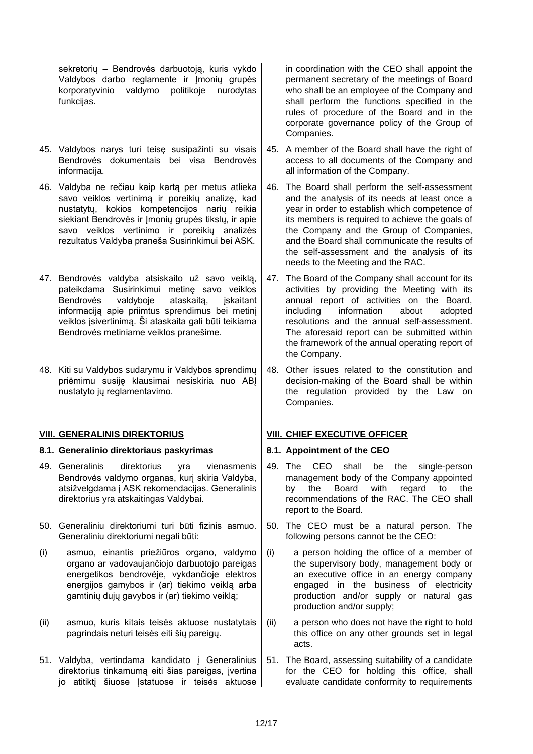sekretorių – Bendrovės darbuotoją, kuris vykdo Valdybos darbo reglamente ir Įmonių grupės korporatyvinio valdymo politikoje nurodytas funkcijas.

- 45. Valdybos narys turi teisę susipažinti su visais Bendrovės dokumentais bei visa Bendrovės informacija.
- 46. Valdyba ne rečiau kaip kartą per metus atlieka savo veiklos vertinimą ir poreikių analizę, kad nustatytų, kokios kompetencijos narių reikia siekiant Bendrovės ir Įmonių grupės tikslų, ir apie savo veiklos vertinimo ir poreikių analizės rezultatus Valdyba praneša Susirinkimui bei ASK.
- 47. Bendrovės valdyba atsiskaito už savo veiklą, pateikdama Susirinkimui metinę savo veiklos Bendrovės valdyboje ataskaitą, įskaitant informaciją apie priimtus sprendimus bei metinį veiklos įsivertinimą. Ši ataskaita gali būti teikiama Bendrovės metiniame veiklos pranešime.
- 48. Kiti su Valdybos sudarymu ir Valdybos sprendimų priėmimu susiję klausimai nesiskiria nuo ABĮ nustatyto jų reglamentavimo.

## **VIII. GENERALINIS DIREKTORIUS VIII. CHIEF EXECUTIVE OFFICER**

## **8.1. Generalinio direktoriaus paskyrimas 8.1. Appointment of the CEO**

- 49. Generalinis direktorius yra vienasmenis Bendrovės valdymo organas, kurį skiria Valdyba, atsižvelgdama į ASK rekomendacijas. Generalinis direktorius yra atskaitingas Valdybai.
- 50. Generaliniu direktoriumi turi būti fizinis asmuo. Generaliniu direktoriumi negali būti:
- (i) asmuo, einantis priežiūros organo, valdymo organo ar vadovaujančiojo darbuotojo pareigas energetikos bendrovėje, vykdančioje elektros energijos gamybos ir (ar) tiekimo veiklą arba gamtinių dujų gavybos ir (ar) tiekimo veiklą;
- (ii) asmuo, kuris kitais teisės aktuose nustatytais pagrindais neturi teisės eiti šių pareigų.
- 51. Valdyba, vertindama kandidato į Generalinius direktorius tinkamumą eiti šias pareigas, įvertina jo atitikti šiuose Istatuose ir teisės aktuose

in coordination with the CEO shall appoint the permanent secretary of the meetings of Board who shall be an employee of the Company and shall perform the functions specified in the rules of procedure of the Board and in the corporate governance policy of the Group of Companies.

- 45. A member of the Board shall have the right of access to all documents of the Company and all information of the Company.
- 46. The Board shall perform the self-assessment and the analysis of its needs at least once a year in order to establish which competence of its members is required to achieve the goals of the Company and the Group of Companies, and the Board shall communicate the results of the self-assessment and the analysis of its needs to the Meeting and the RAC.
- 47. The Board of the Company shall account for its activities by providing the Meeting with its annual report of activities on the Board, including information about adopted resolutions and the annual self-assessment. The aforesaid report can be submitted within the framework of the annual operating report of the Company.
- 48. Other issues related to the constitution and decision-making of the Board shall be within the regulation provided by the Law on Companies.

- 49. The CEO shall be the single-person management body of the Company appointed by the Board with regard to the recommendations of the RAC. The CEO shall report to the Board.
- 50. The CEO must be a natural person. The following persons cannot be the CEO:
- (i) a person holding the office of a member of the supervisory body, management body or an executive office in an energy company engaged in the business of electricity production and/or supply or natural gas production and/or supply;
- (ii) a person who does not have the right to hold this office on any other grounds set in legal acts.
- 51. The Board, assessing suitability of a candidate for the CEO for holding this office, shall evaluate candidate conformity to requirements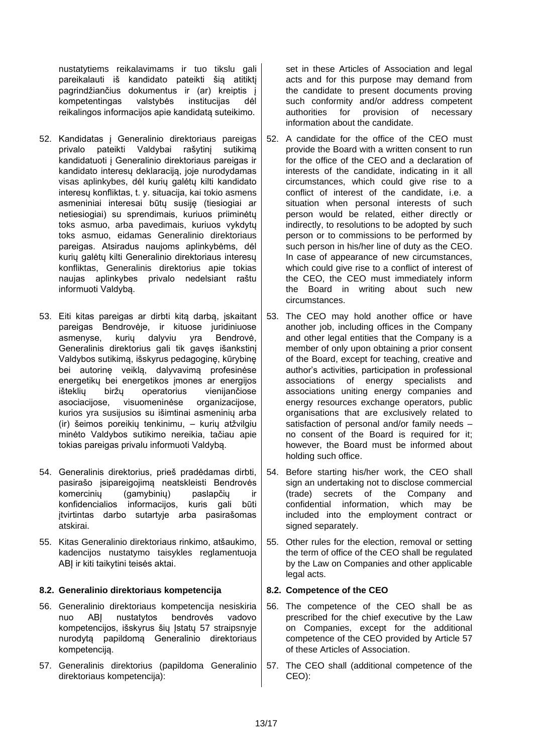nustatytiems reikalavimams ir tuo tikslu gali pareikalauti iš kandidato pateikti šią atitiktį pagrindžiančius dokumentus ir (ar) kreiptis į kompetentingas valstybės institucijas dėl reikalingos informacijos apie kandidatą suteikimo.

- 52. Kandidatas į Generalinio direktoriaus pareigas privalo pateikti Valdybai rašytinį sutikimą kandidatuoti į Generalinio direktoriaus pareigas ir kandidato interesų deklaraciją, joje nurodydamas visas aplinkybes, dėl kurių galėtų kilti kandidato interesų konfliktas, t. y. situacija, kai tokio asmens asmeniniai interesai būtų susiję (tiesiogiai ar netiesiogiai) su sprendimais, kuriuos priiminėtų toks asmuo, arba pavedimais, kuriuos vykdytų toks asmuo, eidamas Generalinio direktoriaus pareigas. Atsiradus naujoms aplinkybėms, dėl kurių galėtų kilti Generalinio direktoriaus interesų konfliktas, Generalinis direktorius apie tokias naujas aplinkybes privalo nedelsiant raštu informuoti Valdybą.
- 53. Eiti kitas pareigas ar dirbti kitą darbą, įskaitant pareigas Bendrovėje, ir kituose juridiniuose asmenyse, kurių dalyviu yra Bendrovė, Generalinis direktorius gali tik gavęs išankstinį Valdybos sutikimą, išskyrus pedagoginę, kūrybinę bei autorinę veiklą, dalyvavimą profesinėse energetikų bei energetikos įmones ar energijos išteklių biržų operatorius vienijančiose asociacijose, visuomeninėse organizacijose, kurios yra susijusios su išimtinai asmeninių arba (ir) šeimos poreikių tenkinimu, – kurių atžvilgiu minėto Valdybos sutikimo nereikia, tačiau apie tokias pareigas privalu informuoti Valdybą.
- 54. Generalinis direktorius, prieš pradėdamas dirbti, pasirašo įsipareigojimą neatskleisti Bendrovės komercinių (gamybinių) paslapčių ir konfidencialios informacijos, kuris gali būti įtvirtintas darbo sutartyje arba pasirašomas atskirai.
- 55. Kitas Generalinio direktoriaus rinkimo, atšaukimo, kadencijos nustatymo taisykles reglamentuoja ABI ir kiti taikytini teisės aktai.

## **8.2. Generalinio direktoriaus kompetencija 8.2. Competence of the CEO**

- 56. Generalinio direktoriaus kompetencija nesiskiria nuo ABĮ nustatytos bendrovės vadovo kompetencijos, išskyrus šių Įstatų 57 straipsnyje nurodytą papildomą Generalinio direktoriaus kompetenciją.
- 57. Generalinis direktorius (papildoma Generalinio direktoriaus kompetencija):

set in these Articles of Association and legal acts and for this purpose may demand from the candidate to present documents proving such conformity and/or address competent authorities for provision of necessary information about the candidate.

- 52. A candidate for the office of the CEO must provide the Board with a written consent to run for the office of the CEO and a declaration of interests of the candidate, indicating in it all circumstances, which could give rise to a conflict of interest of the candidate, i.e. a situation when personal interests of such person would be related, either directly or indirectly, to resolutions to be adopted by such person or to commissions to be performed by such person in his/her line of duty as the CEO. In case of appearance of new circumstances, which could give rise to a conflict of interest of the CEO, the CEO must immediately inform the Board in writing about such new circumstances.
- 53. The CEO may hold another office or have another job, including offices in the Company and other legal entities that the Company is a member of only upon obtaining a prior consent of the Board, except for teaching, creative and author's activities, participation in professional associations of energy specialists and associations uniting energy companies and energy resources exchange operators, public organisations that are exclusively related to satisfaction of personal and/or family needs – no consent of the Board is required for it; however, the Board must be informed about holding such office.
- 54. Before starting his/her work, the CEO shall sign an undertaking not to disclose commercial (trade) secrets of the Company and confidential information, which may be included into the employment contract or signed separately.
- 55. Other rules for the election, removal or setting the term of office of the CEO shall be regulated by the Law on Companies and other applicable legal acts.

- 56. The competence of the CEO shall be as prescribed for the chief executive by the Law on Companies, except for the additional competence of the CEO provided by Article 57 of these Articles of Association.
- 57. The CEO shall (additional competence of the CEO):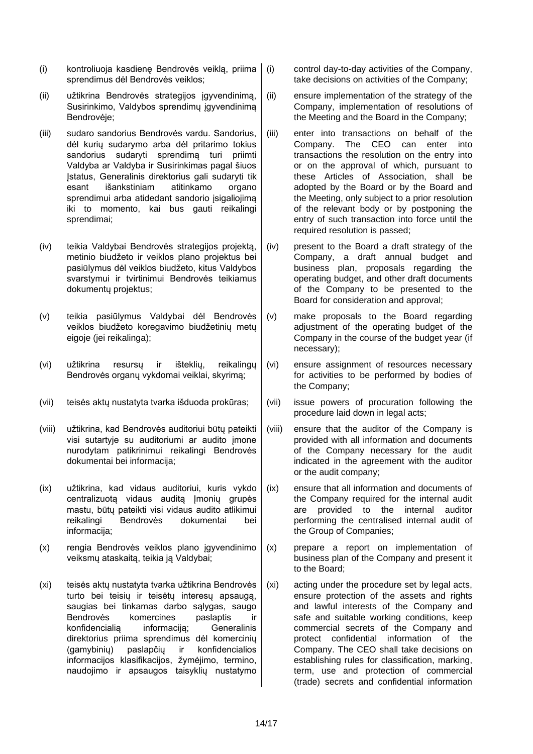- (i) kontroliuoja kasdienę Bendrovės veiklą, priima sprendimus dėl Bendrovės veiklos;
- (ii) užtikrina Bendrovės strategijos įgyvendinimą, Susirinkimo, Valdybos sprendimų įgyvendinimą Bendrovėje;
- (iii) sudaro sandorius Bendrovės vardu. Sandorius, dėl kurių sudarymo arba dėl pritarimo tokius sandorius sudaryti sprendimą turi priimti Valdyba ar Valdyba ir Susirinkimas pagal šiuos Įstatus, Generalinis direktorius gali sudaryti tik esant išankstiniam atitinkamo organo sprendimui arba atidedant sandorio įsigaliojimą iki to momento, kai bus gauti reikalingi sprendimai;
- (iv) teikia Valdybai Bendrovės strategijos projektą, metinio biudžeto ir veiklos plano projektus bei pasiūlymus dėl veiklos biudžeto, kitus Valdybos svarstymui ir tvirtinimui Bendrovės teikiamus dokumentų projektus;
- (v) teikia pasiūlymus Valdybai dėl Bendrovės veiklos biudžeto koregavimo biudžetinių metų eigoje (jei reikalinga);
- (vi) užtikrina resursų ir išteklių, reikalingų Bendrovės organų vykdomai veiklai, skyrimą;
- (vii) teisės aktų nustatyta tvarka išduoda prokūras; (vii) issue powers of procuration following the
- (viii) užtikrina, kad Bendrovės auditoriui būtų pateikti visi sutartyje su auditoriumi ar audito įmone nurodytam patikrinimui reikalingi Bendrovės dokumentai bei informacija;
- (ix) užtikrina, kad vidaus auditoriui, kuris vykdo centralizuotą vidaus auditą Įmonių grupės mastu, būtų pateikti visi vidaus audito atlikimui reikalingi Bendrovės dokumentai bei informacija;
- (x) rengia Bendrovės veiklos plano įgyvendinimo veiksmų ataskaitą, teikia ją Valdybai;
- (xi) teisės aktų nustatyta tvarka užtikrina Bendrovės turto bei teisių ir teisėtų interesų apsaugą, saugias bei tinkamas darbo sąlygas, saugo Bendrovės komercines paslaptis ir konfidencialią informaciją; Generalinis direktorius priima sprendimus dėl komercinių (gamybinių) paslapčių ir konfidencialios informacijos klasifikacijos, žymėjimo, termino, naudojimo ir apsaugos taisyklių nustatymo

(i) control day-to-day activities of the Company, take decisions on activities of the Company;

- (ii) ensure implementation of the strategy of the Company, implementation of resolutions of the Meeting and the Board in the Company;
- (iii) enter into transactions on behalf of the Company. The CEO can enter into transactions the resolution on the entry into or on the approval of which, pursuant to these Articles of Association, shall be adopted by the Board or by the Board and the Meeting, only subject to a prior resolution of the relevant body or by postponing the entry of such transaction into force until the required resolution is passed;
- (iv) present to the Board a draft strategy of the Company, a draft annual budget and business plan, proposals regarding the operating budget, and other draft documents of the Company to be presented to the Board for consideration and approval;
- (v) make proposals to the Board regarding adjustment of the operating budget of the Company in the course of the budget year (if necessary);
- (vi) ensure assignment of resources necessary for activities to be performed by bodies of the Company;
- procedure laid down in legal acts;
- (viii) ensure that the auditor of the Company is provided with all information and documents of the Company necessary for the audit indicated in the agreement with the auditor or the audit company;
- (ix) ensure that all information and documents of the Company required for the internal audit are provided to the internal auditor performing the centralised internal audit of the Group of Companies;
- (x) prepare a report on implementation of business plan of the Company and present it to the Board;
- (xi) acting under the procedure set by legal acts, ensure protection of the assets and rights and lawful interests of the Company and safe and suitable working conditions, keep commercial secrets of the Company and protect confidential information of the Company. The CEO shall take decisions on establishing rules for classification, marking, term, use and protection of commercial (trade) secrets and confidential information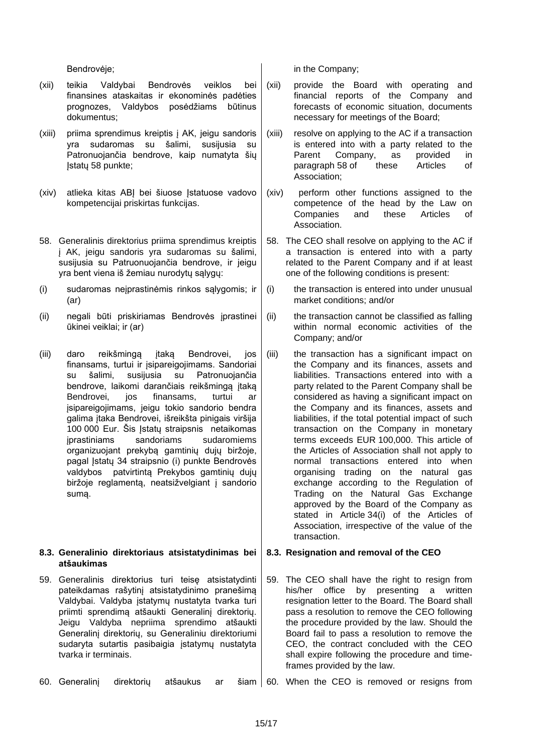- (xii) teikia Valdybai Bendrovės veiklos bei finansines ataskaitas ir ekonominės padėties prognozes, Valdybos posėdžiams būtinus dokumentus;
- (xiii) priima sprendimus kreiptis į AK, jeigu sandoris yra sudaromas su šalimi, susijusia su Patronuojančia bendrove, kaip numatyta šių Įstatų 58 punkte;
- (xiv) atlieka kitas ABĮ bei šiuose Įstatuose vadovo kompetencijai priskirtas funkcijas.
- 58. Generalinis direktorius priima sprendimus kreiptis į AK, jeigu sandoris yra sudaromas su šalimi, susijusia su Patruonuojančia bendrove, ir jeigu yra bent viena iš žemiau nurodytų sąlygų:
- (i) sudaromas neįprastinėmis rinkos sąlygomis; ir (ar)
- (ii) negali būti priskiriamas Bendrovės įprastinei ūkinei veiklai; ir (ar)
- (iii) daro reikšmingą įtaką Bendrovei, jos finansams, turtui ir įsipareigojimams. Sandoriai su šalimi, susijusia su Patronuojančia bendrove, laikomi darančiais reikšmingą įtaką Bendrovei, jos finansams, turtui ar įsipareigojimams, jeigu tokio sandorio bendra galima įtaka Bendrovei, išreikšta pinigais viršija 100 000 Eur. Šis Įstatų straipsnis netaikomas įprastiniams sandoriams sudaromiems organizuojant prekybą gamtinių dujų biržoje, pagal Įstatų 34 straipsnio (i) punkte Bendrovės valdybos patvirtintą Prekybos gamtinių dujų biržoje reglamentą, neatsižvelgiant į sandorio sumą.

## **8.3. Generalinio direktoriaus atsistatydinimas bei atšaukimas**

59. Generalinis direktorius turi teisę atsistatydinti pateikdamas rašytinį atsistatydinimo pranešimą Valdybai. Valdyba įstatymų nustatyta tvarka turi priimti sprendimą atšaukti Generalinį direktorių. Jeigu Valdyba nepriima sprendimo atšaukti Generalinį direktorių, su Generaliniu direktoriumi sudaryta sutartis pasibaigia įstatymų nustatyta tvarka ir terminais.

Bendrovėje; in the Company;

- (xii) provide the Board with operating and financial reports of the Company and forecasts of economic situation, documents necessary for meetings of the Board;
- (xiii) resolve on applying to the AC if a transaction is entered into with a party related to the<br>Parent Company, as provided in Parent Company, as provided in paragraph 58 of these Articles of Association;
- (xiv) perform other functions assigned to the competence of the head by the Law on Companies and these Articles of Association.
- 58. The CEO shall resolve on applying to the AC if a transaction is entered into with a party related to the Parent Company and if at least one of the following conditions is present:
- (i) the transaction is entered into under unusual market conditions; and/or
- (ii) the transaction cannot be classified as falling within normal economic activities of the Company; and/or
- (iii) the transaction has a significant impact on the Company and its finances, assets and liabilities. Transactions entered into with a party related to the Parent Company shall be considered as having a significant impact on the Company and its finances, assets and liabilities, if the total potential impact of such transaction on the Company in monetary terms exceeds EUR 100,000. This article of the Articles of Association shall not apply to normal transactions entered into when organising trading on the natural gas exchange according to the Regulation of Trading on the Natural Gas Exchange approved by the Board of the Company as stated in Article 34(i) of the Articles of Association, irrespective of the value of the transaction.

## **8.3. Resignation and removal of the CEO**

59. The CEO shall have the right to resign from his/her office by presenting a written resignation letter to the Board. The Board shall pass a resolution to remove the CEO following the procedure provided by the law. Should the Board fail to pass a resolution to remove the CEO, the contract concluded with the CEO shall expire following the procedure and timeframes provided by the law.

60. Generalini direktoriu atšaukus ar šiam 60. When the CEO is removed or resigns from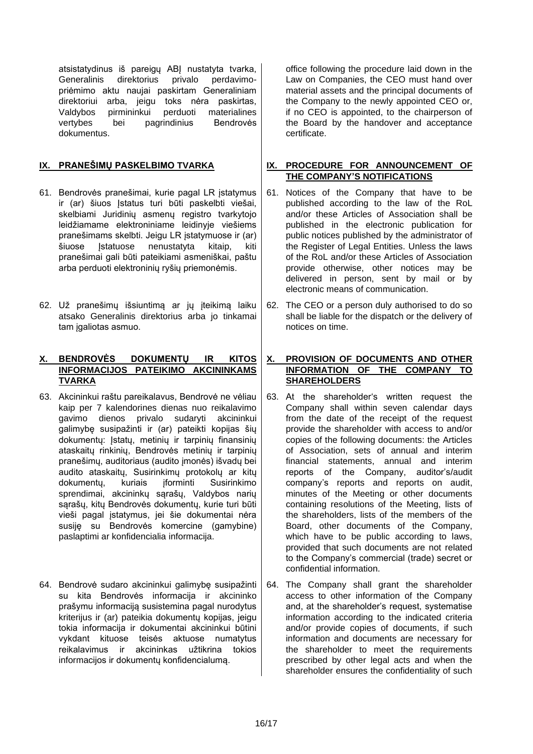atsistatydinus iš pareigų ABĮ nustatyta tvarka, Generalinis direktorius privalo perdavimopriėmimo aktu naujai paskirtam Generaliniam direktoriui arba, jeigu toks nėra paskirtas, Valdybos pirmininkui perduoti materialines<br>vertybes bei pagrindinius Bendrovės bei pagrindinius dokumentus.

- 61. Bendrovės pranešimai, kurie pagal LR įstatymus ir (ar) šiuos Įstatus turi būti paskelbti viešai, skelbiami Juridinių asmenų registro tvarkytojo leidžiamame elektroniniame leidinyje viešiems pranešimams skelbti. Jeigu LR įstatymuose ir (ar) šiuose Istatuose nenustatyta kitaip, kiti pranešimai gali būti pateikiami asmeniškai, paštu arba perduoti elektroninių ryšių priemonėmis.
- 62. Už pranešimų išsiuntimą ar jų įteikimą laiku atsako Generalinis direktorius arba jo tinkamai tam įgaliotas asmuo.

## **X. BENDROVĖS DOKUMENTŲ IR KITOS INFORMACIJOS PATEIKIMO AKCININKAMS TVARKA**

- 63. Akcininkui raštu pareikalavus, Bendrovė ne vėliau kaip per 7 kalendorines dienas nuo reikalavimo gavimo dienos privalo sudaryti akcininkui galimybę susipažinti ir (ar) pateikti kopijas šių dokumentų: Įstatų, metinių ir tarpinių finansinių ataskaitų rinkinių, Bendrovės metinių ir tarpinių pranešimų, auditoriaus (audito įmonės) išvadų bei audito ataskaitų, Susirinkimų protokolų ar kitų dokumentų, kuriais įforminti Susirinkimo sprendimai, akcininkų sąrašų, Valdybos narių sąrašų, kitų Bendrovės dokumentų, kurie turi būti vieši pagal įstatymus, jei šie dokumentai nėra susiję su Bendrovės komercine (gamybine) paslaptimi ar konfidencialia informacija.
- 64. Bendrovė sudaro akcininkui galimybę susipažinti su kita Bendrovės informacija ir akcininko prašymu informaciją susistemina pagal nurodytus kriterijus ir (ar) pateikia dokumentų kopijas, jeigu tokia informacija ir dokumentai akcininkui būtini vykdant kituose teisės aktuose numatytus reikalavimus ir akcininkas užtikrina tokios informacijos ir dokumentų konfidencialumą.

office following the procedure laid down in the Law on Companies, the CEO must hand over material assets and the principal documents of the Company to the newly appointed CEO or, if no CEO is appointed, to the chairperson of the Board by the handover and acceptance certificate.

## **IX. PRANEŠIMŲ PASKELBIMO TVARKA IX. PROCEDURE FOR ANNOUNCEMENT OF THE COMPANY'S NOTIFICATIONS**

- 61. Notices of the Company that have to be published according to the law of the RoL and/or these Articles of Association shall be published in the electronic publication for public notices published by the administrator of the Register of Legal Entities. Unless the laws of the RoL and/or these Articles of Association provide otherwise, other notices may be delivered in person, sent by mail or by electronic means of communication.
- 62. The CEO or a person duly authorised to do so shall be liable for the dispatch or the delivery of notices on time.

## **X. PROVISION OF DOCUMENTS AND OTHER INFORMATION OF THE COMPANY TO SHAREHOLDERS**

- 63. At the shareholder's written request the Company shall within seven calendar days from the date of the receipt of the request provide the shareholder with access to and/or copies of the following documents: the Articles of Association, sets of annual and interim financial statements, annual and interim reports of the Company, auditor's/audit company's reports and reports on audit, minutes of the Meeting or other documents containing resolutions of the Meeting, lists of the shareholders, lists of the members of the Board, other documents of the Company, which have to be public according to laws, provided that such documents are not related to the Company's commercial (trade) secret or confidential information.
- 64. The Company shall grant the shareholder access to other information of the Company and, at the shareholder's request, systematise information according to the indicated criteria and/or provide copies of documents, if such information and documents are necessary for the shareholder to meet the requirements prescribed by other legal acts and when the shareholder ensures the confidentiality of such